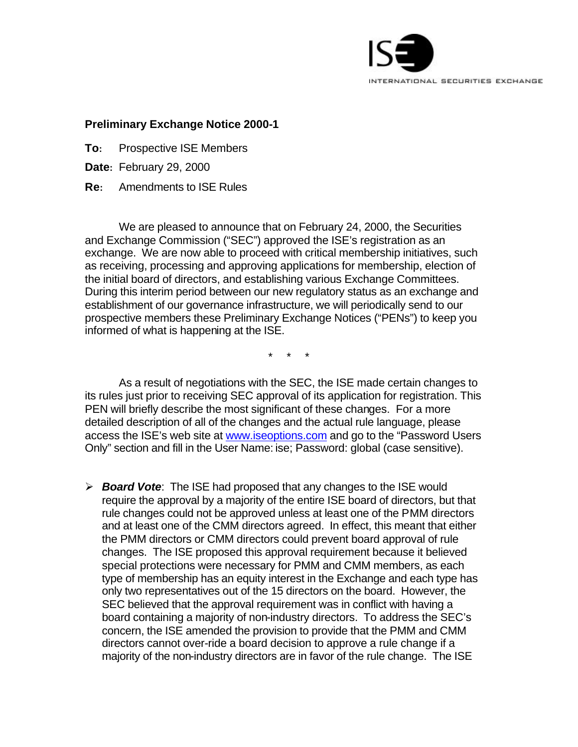

## **Preliminary Exchange Notice 2000-1**

- **To:** Prospective ISE Members
- **Date:** February 29, 2000
- **Re:** Amendments to ISE Rules

We are pleased to announce that on February 24, 2000, the Securities and Exchange Commission ("SEC") approved the ISE's registration as an exchange. We are now able to proceed with critical membership initiatives, such as receiving, processing and approving applications for membership, election of the initial board of directors, and establishing various Exchange Committees. During this interim period between our new regulatory status as an exchange and establishment of our governance infrastructure, we will periodically send to our prospective members these Preliminary Exchange Notices ("PENs") to keep you informed of what is happening at the ISE.

\* \* \*

As a result of negotiations with the SEC, the ISE made certain changes to its rules just prior to receiving SEC approval of its application for registration. This PEN will briefly describe the most significant of these changes. For a more detailed description of all of the changes and the actual rule language, please access the ISE's web site at www.iseoptions.com and go to the "Password Users Only" section and fill in the User Name: ise; Password: global (case sensitive).

ÿ *Board Vote*: The ISE had proposed that any changes to the ISE would require the approval by a majority of the entire ISE board of directors, but that rule changes could not be approved unless at least one of the PMM directors and at least one of the CMM directors agreed. In effect, this meant that either the PMM directors or CMM directors could prevent board approval of rule changes. The ISE proposed this approval requirement because it believed special protections were necessary for PMM and CMM members, as each type of membership has an equity interest in the Exchange and each type has only two representatives out of the 15 directors on the board. However, the SEC believed that the approval requirement was in conflict with having a board containing a majority of non-industry directors. To address the SEC's concern, the ISE amended the provision to provide that the PMM and CMM directors cannot over-ride a board decision to approve a rule change if a majority of the non-industry directors are in favor of the rule change. The ISE